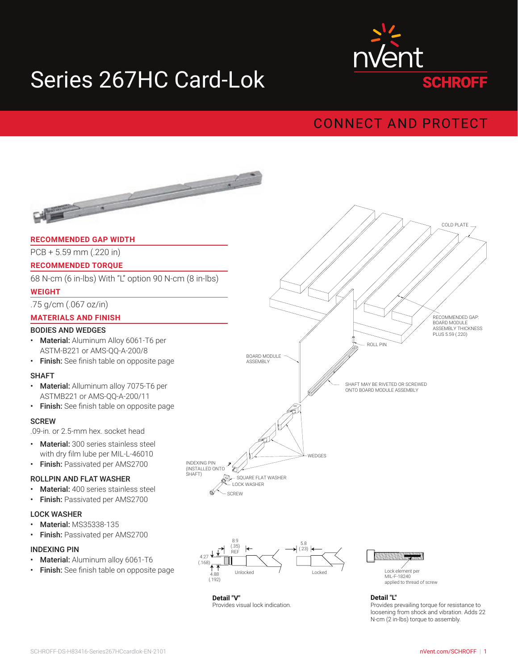# Series 267HC Card-Lok



## **CONNECT AND PROTECT**



**Detail "V"** Provides visual lock indication. Provides visual lock indication.

Provides prevailing torque for resistance to Provides prevailing torque for resistance to loosening from shock and vibration. Adds 22 loosening from shock and vibration. Adds 22 N-cm (2 in-lbs) torque to assembly. N-cm (2 in-lbs) torque to assembly. **Detail "L"**